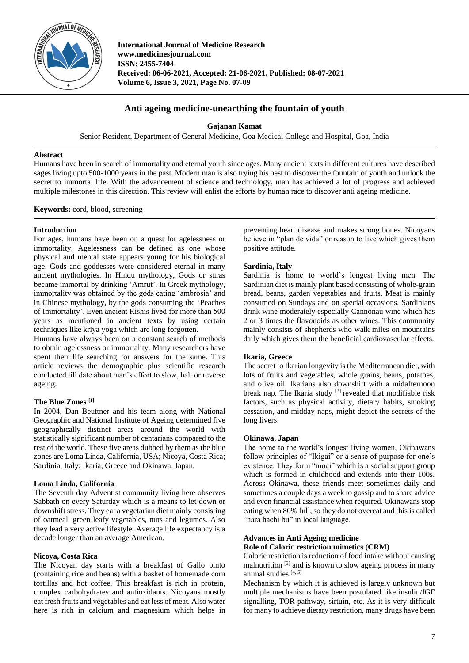

**International Journal of Medicine Research www.medicinesjournal.com ISSN: 2455-7404 Received: 06-06-2021, Accepted: 21-06-2021, Published: 08-07-2021 Volume 6, Issue 3, 2021, Page No. 07-09**

# **Anti ageing medicine-unearthing the fountain of youth**

**Gajanan Kamat**

Senior Resident, Department of General Medicine, Goa Medical College and Hospital, Goa, India

# **Abstract**

Humans have been in search of immortality and eternal youth since ages. Many ancient texts in different cultures have described sages living upto 500-1000 years in the past. Modern man is also trying his best to discover the fountain of youth and unlock the secret to immortal life. With the advancement of science and technology, man has achieved a lot of progress and achieved multiple milestones in this direction. This review will enlist the efforts by human race to discover anti ageing medicine.

**Keywords:** cord, blood, screening

# **Introduction**

For ages, humans have been on a quest for agelessness or immortality. Agelessness can be defined as one whose physical and mental state appears young for his biological age. Gods and goddesses were considered eternal in many ancient mythologies. In Hindu mythology, Gods or suras became immortal by drinking 'Amrut'. In Greek mythology, immortality was obtained by the gods eating 'ambrosia' and in Chinese mythology, by the gods consuming the 'Peaches of Immortality'. Even ancient Rishis lived for more than 500 years as mentioned in ancient texts by using certain techniques like kriya yoga which are long forgotten.

Humans have always been on a constant search of methods to obtain agelessness or immortality. Many researchers have spent their life searching for answers for the same. This article reviews the demographic plus scientific research conducted till date about man's effort to slow, halt or reverse ageing.

# **The Blue Zones [1]**

In 2004, Dan Beuttner and his team along with National Geographic and National Institute of Ageing determined five geographically distinct areas around the world with statistically significant number of centarians compared to the rest of the world. These five areas dubbed by them as the blue zones are Loma Linda, California, USA; Nicoya, Costa Rica; Sardinia, Italy; Ikaria, Greece and Okinawa, Japan.

# **Loma Linda, California**

The Seventh day Adventist community living here observes Sabbath on every Saturday which is a means to let down or downshift stress. They eat a vegetarian diet mainly consisting of oatmeal, green leafy vegetables, nuts and legumes. Also they lead a very active lifestyle. Average life expectancy is a decade longer than an average American.

### **Nicoya, Costa Rica**

The Nicoyan day starts with a breakfast of Gallo pinto (containing rice and beans) with a basket of homemade corn tortillas and hot coffee. This breakfast is rich in protein, complex carbohydrates and antioxidants. Nicoyans mostly eat fresh fruits and vegetables and eat less of meat. Also water here is rich in calcium and magnesium which helps in

preventing heart disease and makes strong bones. Nicoyans believe in "plan de vida" or reason to live which gives them positive attitude.

# **Sardinia, Italy**

Sardinia is home to world's longest living men. The Sardinian diet is mainly plant based consisting of whole-grain bread, beans, garden vegetables and fruits. Meat is mainly consumed on Sundays and on special occasions. Sardinians drink wine moderately especially Cannonau wine which has 2 or 3 times the flavonoids as other wines. This community mainly consists of shepherds who walk miles on mountains daily which gives them the beneficial cardiovascular effects.

# **Ikaria, Greece**

The secret to Ikarian longevity is the Mediterranean diet, with lots of fruits and vegetables, whole grains, beans, potatoes, and olive oil. Ikarians also downshift with a midafternoon break nap. The Ikaria study <sup>[2]</sup> revealed that modifiable risk factors, such as physical activity, dietary habits, smoking cessation, and midday naps, might depict the secrets of the long livers.

### **Okinawa, Japan**

The home to the world's longest living women, Okinawans follow principles of "Ikigai" or a sense of purpose for one's existence. They form "moai" which is a social support group which is formed in childhood and extends into their 100s. Across Okinawa, these friends meet sometimes daily and sometimes a couple days a week to gossip and to share advice and even financial assistance when required. Okinawans stop eating when 80% full, so they do not overeat and this is called "hara hachi bu" in local language.

# **Advances in Anti Ageing medicine Role of Caloric restriction mimetics (CRM)**

Calorie restriction is reduction of food intake without causing malnutrition<sup>[3]</sup> and is known to slow ageing process in many animal studies  $[4, 5]$ 

Mechanism by which it is achieved is largely unknown but multiple mechanisms have been postulated like insulin/IGF signalling, TOR pathway, sirtuin, etc. As it is very difficult for many to achieve dietary restriction, many drugs have been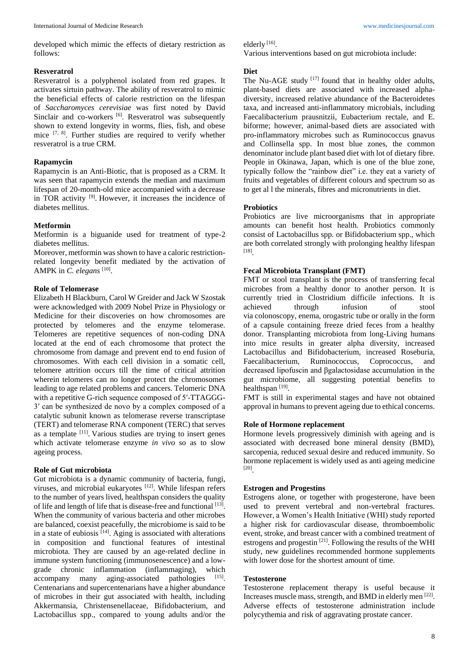developed which mimic the effects of dietary restriction as follows:

### **Resveratrol**

Resveratrol is a polyphenol isolated from red grapes. It activates sirtuin pathway. The ability of resveratrol to mimic the beneficial effects of calorie restriction on the lifespan of *Saccharomyces cerevisiae* was first noted by David Sinclair and co-workers [6]. Resveratrol was subsequently shown to extend longevity in worms, flies, fish, and obese mice [7, 8]. Further studies are required to verify whether resveratrol is a true CRM.

## **Rapamycin**

Rapamycin is an Anti-Biotic, that is proposed as a CRM. It was seen that rapamycin extends the median and maximum lifespan of 20-month-old mice accompanied with a decrease in TOR activity  $[9]$ . However, it increases the incidence of diabetes mellitus.

#### **Metformin**

Metformin is a biguanide used for treatment of type-2 diabetes mellitus.

Moreover, metformin was shown to have a caloric restrictionrelated longevity benefit mediated by the activation of AMPK in *C. elegans*<sup>[10]</sup>.

#### **Role of Telomerase**

Elizabeth H Blackburn, Carol W Greider and Jack W Szostak were acknowledged with 2009 Nobel Prize in Physiology or Medicine for their discoveries on how chromosomes are protected by telomeres and the enzyme telomerase. Telomeres are repetitive sequences of non-coding DNA located at the end of each chromosome that protect the chromosome from damage and prevent end to end fusion of chromosomes. With each cell division in a somatic cell, telomere attrition occurs till the time of critical attrition wherein telomeres can no longer protect the chromosomes leading to age related problems and cancers. Telomeric DNA with a repetitive G-rich sequence composed of 5'-TTAGGG-3′ can be synthesized de novo by a complex composed of a catalytic subunit known as telomerase reverse transcriptase (TERT) and telomerase RNA component (TERC) that serves as a template <sup>[11]</sup>. Various studies are trying to insert genes which activate telomerase enzyme *in vivo* so as to slow ageing process.

## **Role of Gut microbiota**

Gut microbiota is a dynamic community of bacteria, fungi, viruses, and microbial eukaryotes [12]. While lifespan refers to the number of years lived, healthspan considers the quality of life and length of life that is disease-free and functional [13]. When the community of various bacteria and other microbes are balanced, coexist peacefully, the microbiome is said to be in a state of eubiosis  $[14]$ . Aging is associated with alterations in composition and functional features of intestinal microbiota. They are caused by an age-related decline in immune system functioning (immunosenescence) and a lowgrade chronic inflammation (inflammaging), which accompany many aging-associated pathologies [15]. Centenarians and supercentenarians have a higher abundance of microbes in their gut associated with health, including Akkermansia, Christensenellaceae, Bifidobacterium, and Lactobacillus spp., compared to young adults and/or the

elderly<sup>[16]</sup>.

Various interventions based on gut microbiota include:

#### **Diet**

The Nu-AGE study [17] found that in healthy older adults, plant-based diets are associated with increased alphadiversity, increased relative abundance of the Bacteroidetes taxa, and increased anti-inflammatory microbials, including Faecalibacterium prausnitzii, Eubacterium rectale, and E. biforme; however, animal-based diets are associated with pro-inflammatory microbes such as Ruminococcus gnavus and Collinsella spp. In most blue zones, the common denominator include plant based diet with lot of dietary fibre. People in Okinawa, Japan, which is one of the blue zone, typically follow the "rainbow diet" i.e. they eat a variety of fruits and vegetables of different colours and spectrum so as to get al l the minerals, fibres and micronutrients in diet.

#### **Probiotics**

Probiotics are live microorganisms that in appropriate amounts can benefit host health. Probiotics commonly consist of Lactobacillus spp. or Bifidobacterium spp., which are both correlated strongly with prolonging healthy lifespan [18] .

# **Fecal Microbiota Transplant (FMT)**

FMT or stool transplant is the process of transferring fecal microbes from a healthy donor to another person. It is currently tried in Clostridium difficile infections. It is achieved through infusion of stool via colonoscopy, enema, orogastric tube or orally in the form of a capsule containing freeze dried feces from a healthy donor. Transplanting microbiota from long-Living humans into mice results in greater alpha diversity, increased Lactobacillus and Bifidobacterium, increased Roseburia, Faecalibacterium, Ruminococcus, Coprococcus, and decreased lipofuscin and βgalactosidase accumulation in the gut microbiome, all suggesting potential benefits to healthspan<sup>[19]</sup>.

FMT is still in experimental stages and have not obtained approval in humans to prevent ageing due to ethical concerns.

#### **Role of Hormone replacement**

Hormone levels progressively diminish with ageing and is associated with decreased bone mineral density (BMD), sarcopenia, reduced sexual desire and reduced immunity. So hormone replacement is widely used as anti ageing medicine [20] .

#### **Estrogen and Progestins**

Estrogens alone, or together with progesterone, have been used to prevent vertebral and non-vertebral fractures. However, a Women's Health Initiative (WHI) study reported a higher risk for cardiovascular disease, thromboembolic event, stroke, and breast cancer with a combined treatment of estrogens and progestin<sup>[21]</sup>. Following the results of the WHI study, new guidelines recommended hormone supplements with lower dose for the shortest amount of time.

#### **Testosterone**

Testosterone replacement therapy is useful because it Increases muscle mass, strength, and BMD in elderly men [22] . Adverse effects of testosterone administration include polycythemia and risk of aggravating prostate cancer.